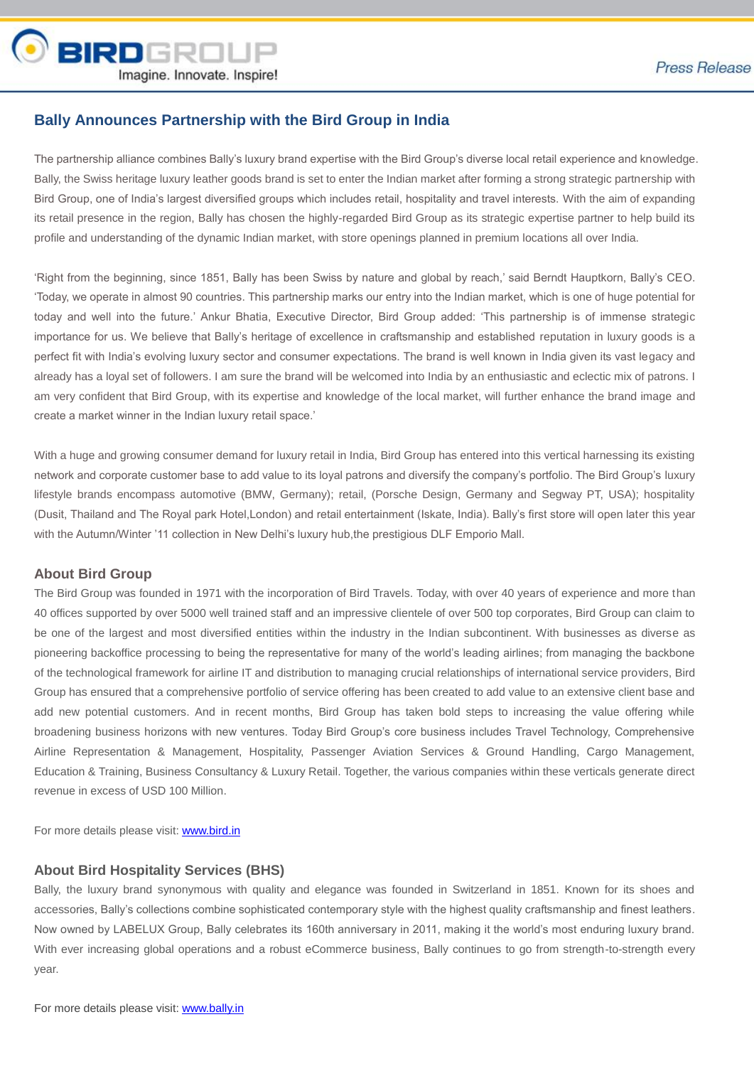

## **Bally Announces Partnership with the Bird Group in India**

The partnership alliance combines Bally's luxury brand expertise with the Bird Group's diverse local retail experience and knowledge. Bally, the Swiss heritage luxury leather goods brand is set to enter the Indian market after forming a strong strategic partnership with Bird Group, one of India's largest diversified groups which includes retail, hospitality and travel interests. With the aim of expanding its retail presence in the region, Bally has chosen the highly-regarded Bird Group as its strategic expertise partner to help build its profile and understanding of the dynamic Indian market, with store openings planned in premium locations all over India.

'Right from the beginning, since 1851, Bally has been Swiss by nature and global by reach,' said Berndt Hauptkorn, Bally's CEO. 'Today, we operate in almost 90 countries. This partnership marks our entry into the Indian market, which is one of huge potential for today and well into the future.' Ankur Bhatia, Executive Director, Bird Group added: 'This partnership is of immense strategic importance for us. We believe that Bally's heritage of excellence in craftsmanship and established reputation in luxury goods is a perfect fit with India's evolving luxury sector and consumer expectations. The brand is well known in India given its vast legacy and already has a loyal set of followers. I am sure the brand will be welcomed into India by an enthusiastic and eclectic mix of patrons. I am very confident that Bird Group, with its expertise and knowledge of the local market, will further enhance the brand image and create a market winner in the Indian luxury retail space.'

With a huge and growing consumer demand for luxury retail in India, Bird Group has entered into this vertical harnessing its existing network and corporate customer base to add value to its loyal patrons and diversify the company's portfolio. The Bird Group's luxury lifestyle brands encompass automotive (BMW, Germany); retail, (Porsche Design, Germany and Segway PT, USA); hospitality (Dusit, Thailand and The Royal park Hotel,London) and retail entertainment (Iskate, India). Bally's first store will open later this year with the Autumn/Winter '11 collection in New Delhi's luxury hub,the prestigious DLF Emporio Mall.

## **About Bird Group**

The Bird Group was founded in 1971 with the incorporation of Bird Travels. Today, with over 40 years of experience and more than 40 offices supported by over 5000 well trained staff and an impressive clientele of over 500 top corporates, Bird Group can claim to be one of the largest and most diversified entities within the industry in the Indian subcontinent. With businesses as diverse as pioneering backoffice processing to being the representative for many of the world's leading airlines; from managing the backbone of the technological framework for airline IT and distribution to managing crucial relationships of international service providers, Bird Group has ensured that a comprehensive portfolio of service offering has been created to add value to an extensive client base and add new potential customers. And in recent months, Bird Group has taken bold steps to increasing the value offering while broadening business horizons with new ventures. Today Bird Group's core business includes Travel Technology, Comprehensive Airline Representation & Management, Hospitality, Passenger Aviation Services & Ground Handling, Cargo Management, Education & Training, Business Consultancy & Luxury Retail. Together, the various companies within these verticals generate direct revenue in excess of USD 100 Million.

For more details please visit: www.bird.in

## **About Bird Hospitality Services (BHS)**

Bally, the luxury brand synonymous with quality and elegance was founded in Switzerland in 1851. Known for its shoes and accessories, Bally's collections combine sophisticated contemporary style with the highest quality craftsmanship and finest leathers. Now owned by LABELUX Group, Bally celebrates its 160th anniversary in 2011, making it the world's most enduring luxury brand. With ever increasing global operations and a robust eCommerce business, Bally continues to go from strength-to-strength every year.